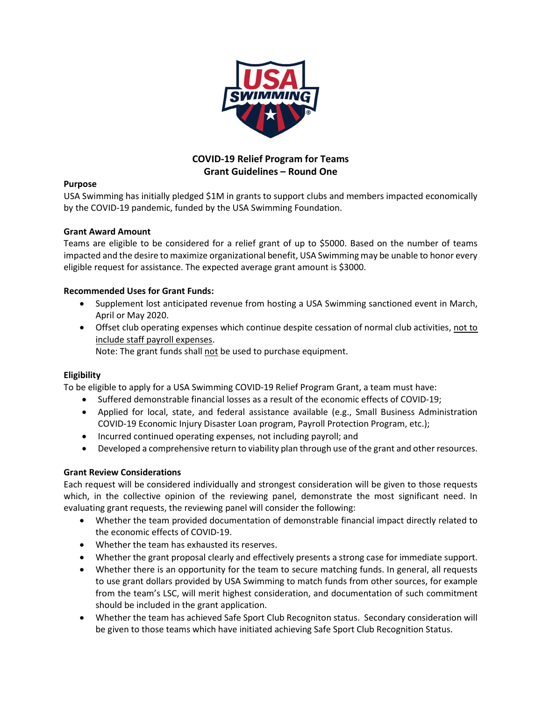

## COVID-19 Relief Program for Teams Grant Guidelines – Round One

## Purpose

USA Swimming has initially pledged \$1M in grants to support clubs and members impacted economically by the COVID-19 pandemic, funded by the USA Swimming Foundation.

## Grant Award Amount

Teams are eligible to be considered for a relief grant of up to \$5000. Based on the number of teams impacted and the desire to maximize organizational benefit, USA Swimming may be unable to honor every eligible request for assistance. The expected average grant amount is \$3000.

## Recommended Uses for Grant Funds:

- Supplement lost anticipated revenue from hosting a USA Swimming sanctioned event in March, April or May 2020.
- Offset club operating expenses which continue despite cessation of normal club activities, not to include staff payroll expenses.

Note: The grant funds shall not be used to purchase equipment.

## **Eligibility**

To be eligible to apply for a USA Swimming COVID-19 Relief Program Grant, a team must have:

- Suffered demonstrable financial losses as a result of the economic effects of COVID-19;
- Applied for local, state, and federal assistance available (e.g., Small Business Administration COVID-19 Economic Injury Disaster Loan program, Payroll Protection Program, etc.);
- Incurred continued operating expenses, not including payroll; and
- Developed a comprehensive return to viability plan through use of the grant and other resources.

## Grant Review Considerations

Each request will be considered individually and strongest consideration will be given to those requests which, in the collective opinion of the reviewing panel, demonstrate the most significant need. In evaluating grant requests, the reviewing panel will consider the following:

- Whether the team provided documentation of demonstrable financial impact directly related to the economic effects of COVID-19.
- Whether the team has exhausted its reserves.
- Whether the grant proposal clearly and effectively presents a strong case for immediate support.
- Whether there is an opportunity for the team to secure matching funds. In general, all requests to use grant dollars provided by USA Swimming to match funds from other sources, for example from the team's LSC, will merit highest consideration, and documentation of such commitment should be included in the grant application.
- Whether the team has achieved Safe Sport Club Recogniton status. Secondary consideration will be given to those teams which have initiated achieving Safe Sport Club Recognition Status.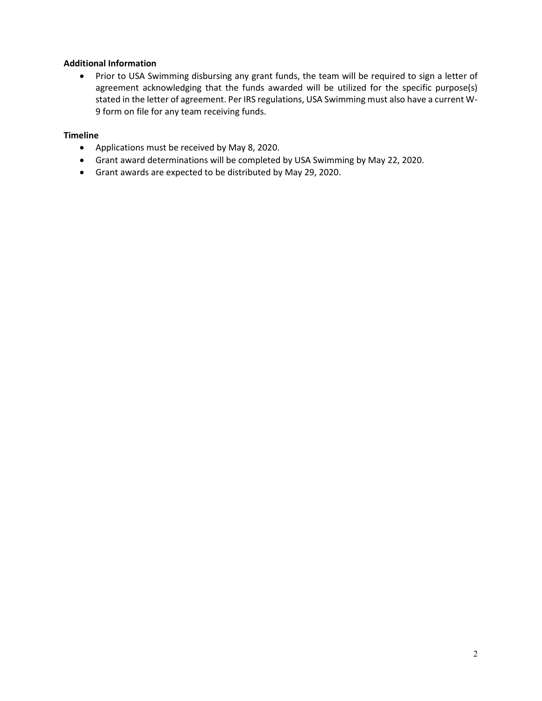## Additional Information

• Prior to USA Swimming disbursing any grant funds, the team will be required to sign a letter of agreement acknowledging that the funds awarded will be utilized for the specific purpose(s) stated in the letter of agreement. Per IRS regulations, USA Swimming must also have a current W-9 form on file for any team receiving funds.

#### Timeline

- Applications must be received by May 8, 2020.
- Grant award determinations will be completed by USA Swimming by May 22, 2020.
- Grant awards are expected to be distributed by May 29, 2020.